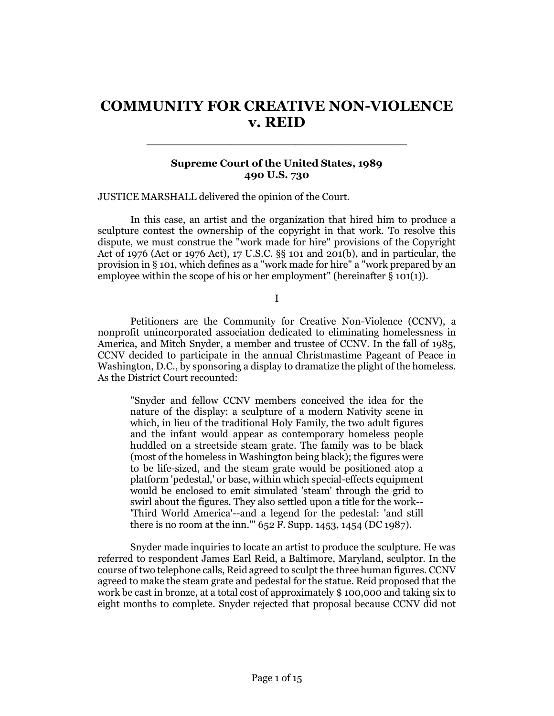## **COMMUNITY FOR CREATIVE NON-VIOLENCE v. REID**

\_\_\_\_\_\_\_\_\_\_\_\_\_\_\_\_\_\_\_\_\_\_\_\_\_\_\_\_

## **Supreme Court of the United States, 1989 490 U.S. 730**

JUSTICE MARSHALL delivered the opinion of the Court.

In this case, an artist and the organization that hired him to produce a sculpture contest the ownership of the copyright in that work. To resolve this dispute, we must construe the "work made for hire" provisions of the Copyright Act of 1976 (Act or 1976 Act), 17 U.S.C. §§ 101 and 201(b), and in particular, the provision in § 101, which defines as a "work made for hire" a "work prepared by an employee within the scope of his or her employment" (hereinafter § 101(1)).

I

Petitioners are the Community for Creative Non-Violence (CCNV), a nonprofit unincorporated association dedicated to eliminating homelessness in America, and Mitch Snyder, a member and trustee of CCNV. In the fall of 1985, CCNV decided to participate in the annual Christmastime Pageant of Peace in Washington, D.C., by sponsoring a display to dramatize the plight of the homeless. As the District Court recounted:

"Snyder and fellow CCNV members conceived the idea for the nature of the display: a sculpture of a modern Nativity scene in which, in lieu of the traditional Holy Family, the two adult figures and the infant would appear as contemporary homeless people huddled on a streetside steam grate. The family was to be black (most of the homeless in Washington being black); the figures were to be life-sized, and the steam grate would be positioned atop a platform 'pedestal,' or base, within which special-effects equipment would be enclosed to emit simulated 'steam' through the grid to swirl about the figures. They also settled upon a title for the work-- 'Third World America'--and a legend for the pedestal: 'and still there is no room at the inn.'" 652 F. Supp. 1453, 1454 (DC 1987).

Snyder made inquiries to locate an artist to produce the sculpture. He was referred to respondent James Earl Reid, a Baltimore, Maryland, sculptor. In the course of two telephone calls, Reid agreed to sculpt the three human figures. CCNV agreed to make the steam grate and pedestal for the statue. Reid proposed that the work be cast in bronze, at a total cost of approximately \$ 100,000 and taking six to eight months to complete. Snyder rejected that proposal because CCNV did not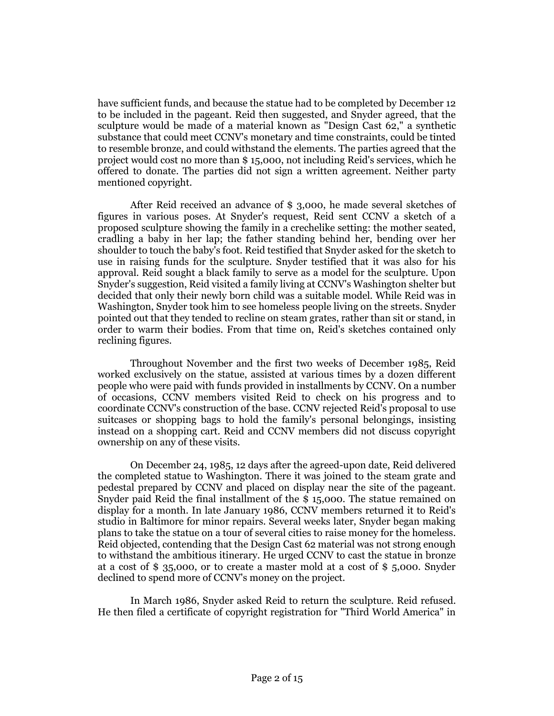have sufficient funds, and because the statue had to be completed by December 12 to be included in the pageant. Reid then suggested, and Snyder agreed, that the sculpture would be made of a material known as "Design Cast 62," a synthetic substance that could meet CCNV's monetary and time constraints, could be tinted to resemble bronze, and could withstand the elements. The parties agreed that the project would cost no more than \$ 15,000, not including Reid's services, which he offered to donate. The parties did not sign a written agreement. Neither party mentioned copyright.

After Reid received an advance of \$ 3,000, he made several sketches of figures in various poses. At Snyder's request, Reid sent CCNV a sketch of a proposed sculpture showing the family in a crechelike setting: the mother seated, cradling a baby in her lap; the father standing behind her, bending over her shoulder to touch the baby's foot. Reid testified that Snyder asked for the sketch to use in raising funds for the sculpture. Snyder testified that it was also for his approval. Reid sought a black family to serve as a model for the sculpture. Upon Snyder's suggestion, Reid visited a family living at CCNV's Washington shelter but decided that only their newly born child was a suitable model. While Reid was in Washington, Snyder took him to see homeless people living on the streets. Snyder pointed out that they tended to recline on steam grates, rather than sit or stand, in order to warm their bodies. From that time on, Reid's sketches contained only reclining figures.

Throughout November and the first two weeks of December 1985, Reid worked exclusively on the statue, assisted at various times by a dozen different people who were paid with funds provided in installments by CCNV. On a number of occasions, CCNV members visited Reid to check on his progress and to coordinate CCNV's construction of the base. CCNV rejected Reid's proposal to use suitcases or shopping bags to hold the family's personal belongings, insisting instead on a shopping cart. Reid and CCNV members did not discuss copyright ownership on any of these visits.

On December 24, 1985, 12 days after the agreed-upon date, Reid delivered the completed statue to Washington. There it was joined to the steam grate and pedestal prepared by CCNV and placed on display near the site of the pageant. Snyder paid Reid the final installment of the \$ 15,000. The statue remained on display for a month. In late January 1986, CCNV members returned it to Reid's studio in Baltimore for minor repairs. Several weeks later, Snyder began making plans to take the statue on a tour of several cities to raise money for the homeless. Reid objected, contending that the Design Cast 62 material was not strong enough to withstand the ambitious itinerary. He urged CCNV to cast the statue in bronze at a cost of \$ 35,000, or to create a master mold at a cost of \$ 5,000. Snyder declined to spend more of CCNV's money on the project.

In March 1986, Snyder asked Reid to return the sculpture. Reid refused. He then filed a certificate of copyright registration for "Third World America" in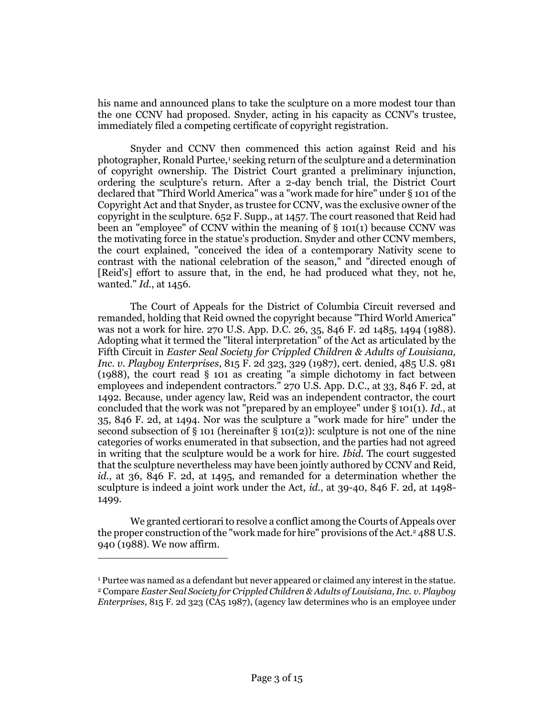his name and announced plans to take the sculpture on a more modest tour than the one CCNV had proposed. Snyder, acting in his capacity as CCNV's trustee, immediately filed a competing certificate of copyright registration.

Snyder and CCNV then commenced this action against Reid and his photographer, Ronald Purtee,<sup>1</sup> seeking return of the sculpture and a determination of copyright ownership. The District Court granted a preliminary injunction, ordering the sculpture's return. After a 2-day bench trial, the District Court declared that "Third World America" was a "work made for hire" under § 101 of the Copyright Act and that Snyder, as trustee for CCNV, was the exclusive owner of the copyright in the sculpture. 652 F. Supp., at 1457. The court reasoned that Reid had been an "employee" of CCNV within the meaning of  $\S$  101(1) because CCNV was the motivating force in the statue's production. Snyder and other CCNV members, the court explained, "conceived the idea of a contemporary Nativity scene to contrast with the national celebration of the season," and "directed enough of [Reid's] effort to assure that, in the end, he had produced what they, not he, wanted." *Id.*, at 1456.

The Court of Appeals for the District of Columbia Circuit reversed and remanded, holding that Reid owned the copyright because "Third World America" was not a work for hire. 270 U.S. App. D.C. 26, 35, 846 F. 2d 1485, 1494 (1988). Adopting what it termed the "literal interpretation" of the Act as articulated by the Fifth Circuit in *Easter Seal Society for Crippled Children & Adults of Louisiana, Inc. v. Playboy Enterprises*, 815 F. 2d 323, 329 (1987), cert. denied, 485 U.S. 981 (1988), the court read § 101 as creating "a simple dichotomy in fact between employees and independent contractors." 270 U.S. App. D.C., at 33, 846 F. 2d, at 1492. Because, under agency law, Reid was an independent contractor, the court concluded that the work was not "prepared by an employee" under § 101(1). *Id.*, at 35, 846 F. 2d, at 1494. Nor was the sculpture a "work made for hire" under the second subsection of  $\S$  101 (hereinafter  $\S$  101(2)): sculpture is not one of the nine categories of works enumerated in that subsection, and the parties had not agreed in writing that the sculpture would be a work for hire. *Ibid.* The court suggested that the sculpture nevertheless may have been jointly authored by CCNV and Reid, *id.*, at 36, 846 F. 2d, at 1495, and remanded for a determination whether the sculpture is indeed a joint work under the Act, *id.*, at 39-40, 846 F. 2d, at 1498- 1499.

We granted certiorari to resolve a conflict among the Courts of Appeals over the proper construction of the "work made for hire" provisions of the Act.<sup>2</sup> 488 U.S. 940 (1988). We now affirm.

l

<sup>1</sup> Purtee was named as a defendant but never appeared or claimed any interest in the statue. <sup>2</sup> Compare *Easter Seal Society for Crippled Children & Adults of Louisiana, Inc. v. Playboy* 

*Enterprises*, 815 F. 2d 323 (CA5 1987), (agency law determines who is an employee under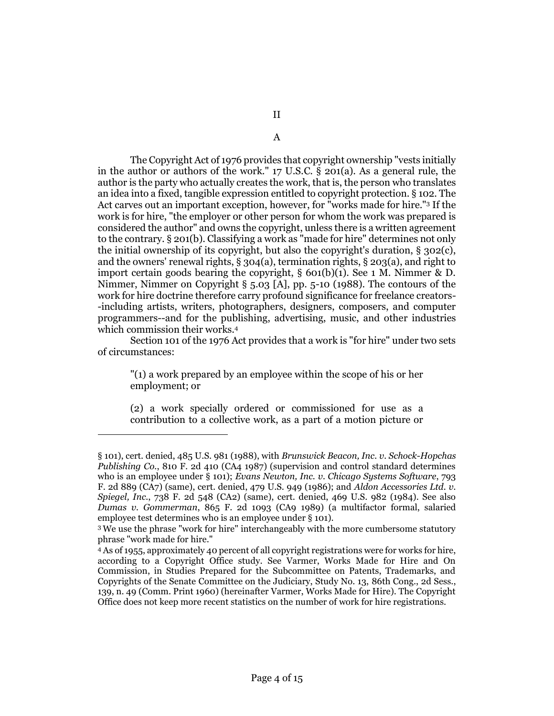The Copyright Act of 1976 provides that copyright ownership "vests initially in the author or authors of the work." 17 U.S.C. § 201(a). As a general rule, the author is the party who actually creates the work, that is, the person who translates an idea into a fixed, tangible expression entitled to copyright protection. § 102. The Act carves out an important exception, however, for "works made for hire."<sup>3</sup> If the work is for hire, "the employer or other person for whom the work was prepared is considered the author" and owns the copyright, unless there is a written agreement to the contrary. § 201(b). Classifying a work as "made for hire" determines not only the initial ownership of its copyright, but also the copyright's duration, § 302(c), and the owners' renewal rights,  $\S$  304(a), termination rights,  $\S$  203(a), and right to import certain goods bearing the copyright,  $\S$  601(b)(1). See 1 M. Nimmer & D. Nimmer, Nimmer on Copyright § 5.03 [A], pp. 5-10 (1988). The contours of the work for hire doctrine therefore carry profound significance for freelance creators- -including artists, writers, photographers, designers, composers, and computer programmers--and for the publishing, advertising, music, and other industries which commission their works.<sup>4</sup>

Section 101 of the 1976 Act provides that a work is "for hire" under two sets of circumstances:

"(1) a work prepared by an employee within the scope of his or her employment; or

(2) a work specially ordered or commissioned for use as a contribution to a collective work, as a part of a motion picture or

 $\overline{a}$ 

A

<sup>§ 101),</sup> cert. denied, 485 U.S. 981 (1988), with *Brunswick Beacon, Inc. v. Schock-Hopchas Publishing Co.*, 810 F. 2d 410 (CA4 1987) (supervision and control standard determines who is an employee under § 101); *Evans Newton, Inc. v. Chicago Systems Software*, 793 F. 2d 889 (CA7) (same), cert. denied, 479 U.S. 949 (1986); and *Aldon Accessories Ltd. v. Spiegel, Inc.*, 738 F. 2d 548 (CA2) (same), cert. denied, 469 U.S. 982 (1984). See also *Dumas v. Gommerman*, 865 F. 2d 1093 (CA9 1989) (a multifactor formal, salaried employee test determines who is an employee under § 101).

<sup>3</sup> We use the phrase "work for hire" interchangeably with the more cumbersome statutory phrase "work made for hire."

<sup>4</sup> As of 1955, approximately 40 percent of all copyright registrations were for works for hire, according to a Copyright Office study. See Varmer, Works Made for Hire and On Commission, in Studies Prepared for the Subcommittee on Patents, Trademarks, and Copyrights of the Senate Committee on the Judiciary, Study No. 13, 86th Cong., 2d Sess., 139, n. 49 (Comm. Print 1960) (hereinafter Varmer, Works Made for Hire). The Copyright Office does not keep more recent statistics on the number of work for hire registrations.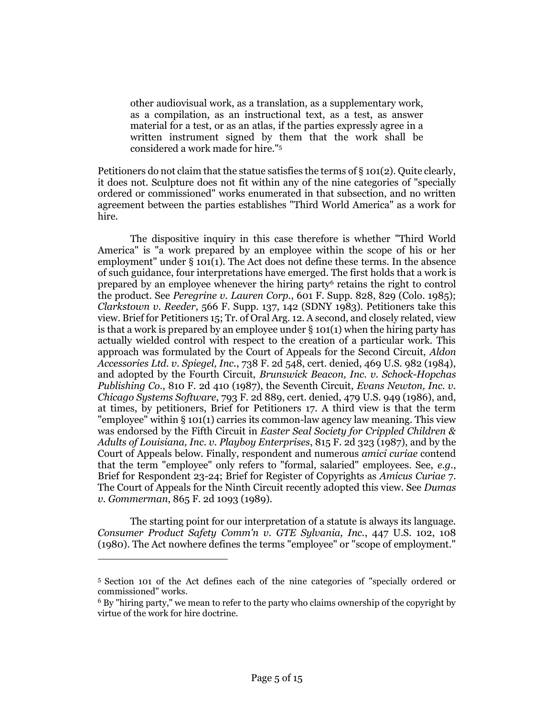other audiovisual work, as a translation, as a supplementary work, as a compilation, as an instructional text, as a test, as answer material for a test, or as an atlas, if the parties expressly agree in a written instrument signed by them that the work shall be considered a work made for hire."<sup>5</sup>

Petitioners do not claim that the statue satisfies the terms of § 101(2). Quite clearly, it does not. Sculpture does not fit within any of the nine categories of "specially ordered or commissioned" works enumerated in that subsection, and no written agreement between the parties establishes "Third World America" as a work for hire.

The dispositive inquiry in this case therefore is whether "Third World America" is "a work prepared by an employee within the scope of his or her employment" under  $\S$  101(1). The Act does not define these terms. In the absence of such guidance, four interpretations have emerged. The first holds that a work is prepared by an employee whenever the hiring party<sup>6</sup> retains the right to control the product. See *Peregrine v. Lauren Corp.*, 601 F. Supp. 828, 829 (Colo. 1985); *Clarkstown v. Reeder*, 566 F. Supp. 137, 142 (SDNY 1983). Petitioners take this view. Brief for Petitioners 15; Tr. of Oral Arg. 12. A second, and closely related, view is that a work is prepared by an employee under § 101(1) when the hiring party has actually wielded control with respect to the creation of a particular work. This approach was formulated by the Court of Appeals for the Second Circuit, *Aldon Accessories Ltd. v. Spiegel, Inc.*, 738 F. 2d 548, cert. denied, 469 U.S. 982 (1984), and adopted by the Fourth Circuit, *Brunswick Beacon, Inc. v. Schock-Hopchas Publishing Co.*, 810 F. 2d 410 (1987), the Seventh Circuit, *Evans Newton, Inc. v. Chicago Systems Software*, 793 F. 2d 889, cert. denied, 479 U.S. 949 (1986), and, at times, by petitioners, Brief for Petitioners 17. A third view is that the term "employee" within  $\S$  101(1) carries its common-law agency law meaning. This view was endorsed by the Fifth Circuit in *Easter Seal Society for Crippled Children & Adults of Louisiana, Inc. v. Playboy Enterprises*, 815 F. 2d 323 (1987), and by the Court of Appeals below. Finally, respondent and numerous *amici curiae* contend that the term "employee" only refers to "formal, salaried" employees. See, *e.g.*, Brief for Respondent 23-24; Brief for Register of Copyrights as *Amicus Curiae* 7. The Court of Appeals for the Ninth Circuit recently adopted this view. See *Dumas v. Gommerman*, 865 F. 2d 1093 (1989).

The starting point for our interpretation of a statute is always its language. *Consumer Product Safety Comm'n v. GTE Sylvania, Inc.*, 447 U.S. 102, 108 (1980). The Act nowhere defines the terms "employee" or "scope of employment."

<sup>5</sup> Section 101 of the Act defines each of the nine categories of "specially ordered or commissioned" works.

<sup>6</sup> By "hiring party," we mean to refer to the party who claims ownership of the copyright by virtue of the work for hire doctrine.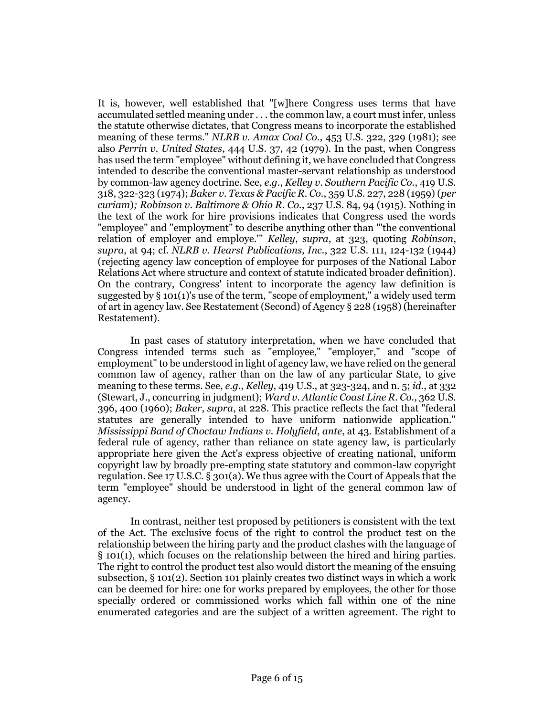It is, however, well established that "[w]here Congress uses terms that have accumulated settled meaning under . . . the common law, a court must infer, unless the statute otherwise dictates, that Congress means to incorporate the established meaning of these terms." *NLRB v. Amax Coal Co.*, 453 U.S. 322, 329 (1981); see also *Perrin v. United States*, 444 U.S. 37, 42 (1979). In the past, when Congress has used the term "employee" without defining it, we have concluded that Congress intended to describe the conventional master-servant relationship as understood by common-law agency doctrine. See, *e.g.*, *Kelley v. Southern Pacific Co.*, 419 U.S. 318, 322-323 (1974); *Baker v. Texas & Pacific R. Co.*, 359 U.S. 227, 228 (1959) (*per curiam*)*; Robinson v. Baltimore & Ohio R. Co.*, 237 U.S. 84, 94 (1915). Nothing in the text of the work for hire provisions indicates that Congress used the words "employee" and "employment" to describe anything other than "'the conventional relation of employer and employe.'" *Kelley*, *supra*, at 323, quoting *Robinson*, *supra*, at 94; cf. *NLRB v. Hearst Publications, Inc.*, 322 U.S. 111, 124-132 (1944) (rejecting agency law conception of employee for purposes of the National Labor Relations Act where structure and context of statute indicated broader definition). On the contrary, Congress' intent to incorporate the agency law definition is suggested by § 101(1)'s use of the term, "scope of employment," a widely used term of art in agency law. See Restatement (Second) of Agency § 228 (1958) (hereinafter Restatement).

In past cases of statutory interpretation, when we have concluded that Congress intended terms such as "employee," "employer," and "scope of employment" to be understood in light of agency law, we have relied on the general common law of agency, rather than on the law of any particular State, to give meaning to these terms. See, *e.g.*, *Kelley*, 419 U.S., at 323-324, and n. 5; *id.*, at 332 (Stewart, J., concurring in judgment); *Ward v. Atlantic Coast Line R. Co.*, 362 U.S. 396, 400 (1960); *Baker*, *supra*, at 228. This practice reflects the fact that "federal statutes are generally intended to have uniform nationwide application." *Mississippi Band of Choctaw Indians v. Holyfield*, *ante*, at 43. Establishment of a federal rule of agency, rather than reliance on state agency law, is particularly appropriate here given the Act's express objective of creating national, uniform copyright law by broadly pre-empting state statutory and common-law copyright regulation. See 17 U.S.C. § 301(a). We thus agree with the Court of Appeals that the term "employee" should be understood in light of the general common law of agency.

In contrast, neither test proposed by petitioners is consistent with the text of the Act. The exclusive focus of the right to control the product test on the relationship between the hiring party and the product clashes with the language of § 101(1), which focuses on the relationship between the hired and hiring parties. The right to control the product test also would distort the meaning of the ensuing subsection, § 101(2). Section 101 plainly creates two distinct ways in which a work can be deemed for hire: one for works prepared by employees, the other for those specially ordered or commissioned works which fall within one of the nine enumerated categories and are the subject of a written agreement. The right to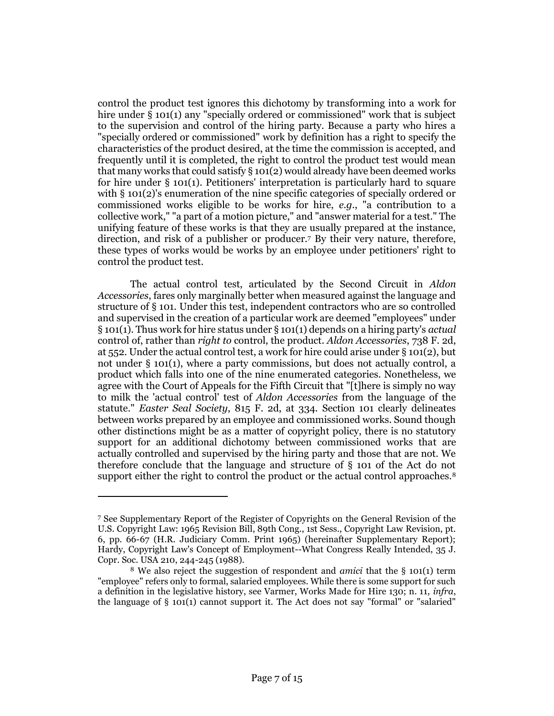control the product test ignores this dichotomy by transforming into a work for hire under  $\S$  101(1) any "specially ordered or commissioned" work that is subject to the supervision and control of the hiring party. Because a party who hires a "specially ordered or commissioned" work by definition has a right to specify the characteristics of the product desired, at the time the commission is accepted, and frequently until it is completed, the right to control the product test would mean that many works that could satisfy § 101(2) would already have been deemed works for hire under § 101(1). Petitioners' interpretation is particularly hard to square with § 101(2)'s enumeration of the nine specific categories of specially ordered or commissioned works eligible to be works for hire, *e.g.*, "a contribution to a collective work," "a part of a motion picture," and "answer material for a test." The unifying feature of these works is that they are usually prepared at the instance, direction, and risk of a publisher or producer.<sup>7</sup> By their very nature, therefore, these types of works would be works by an employee under petitioners' right to control the product test.

The actual control test, articulated by the Second Circuit in *Aldon Accessories*, fares only marginally better when measured against the language and structure of § 101. Under this test, independent contractors who are so controlled and supervised in the creation of a particular work are deemed "employees" under § 101(1). Thus work for hire status under § 101(1) depends on a hiring party's *actual* control of, rather than *right to* control, the product. *Aldon Accessories*, 738 F. 2d, at 552. Under the actual control test, a work for hire could arise under § 101(2), but not under § 101(1), where a party commissions, but does not actually control, a product which falls into one of the nine enumerated categories. Nonetheless, we agree with the Court of Appeals for the Fifth Circuit that "[t]here is simply no way to milk the 'actual control' test of *Aldon Accessories* from the language of the statute." *Easter Seal Society*, 815 F. 2d, at 334. Section 101 clearly delineates between works prepared by an employee and commissioned works. Sound though other distinctions might be as a matter of copyright policy, there is no statutory support for an additional dichotomy between commissioned works that are actually controlled and supervised by the hiring party and those that are not. We therefore conclude that the language and structure of § 101 of the Act do not support either the right to control the product or the actual control approaches.<sup>8</sup>

<sup>7</sup> See Supplementary Report of the Register of Copyrights on the General Revision of the U.S. Copyright Law: 1965 Revision Bill, 89th Cong., 1st Sess., Copyright Law Revision, pt. 6, pp. 66-67 (H.R. Judiciary Comm. Print 1965) (hereinafter Supplementary Report); Hardy, Copyright Law's Concept of Employment--What Congress Really Intended, 35 J. Copr. Soc. USA 210, 244-245 (1988).

<sup>8</sup> We also reject the suggestion of respondent and *amici* that the § 101(1) term "employee" refers only to formal, salaried employees. While there is some support for such a definition in the legislative history, see Varmer, Works Made for Hire 130; n. 11, *infra*, the language of § 101(1) cannot support it. The Act does not say "formal" or "salaried"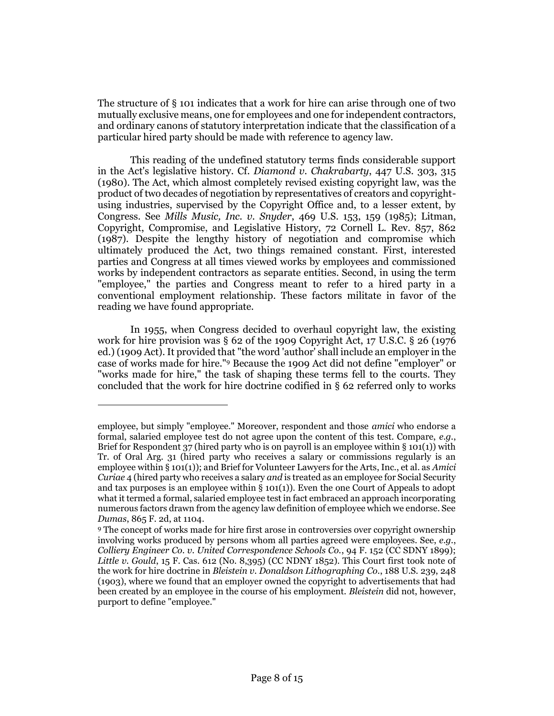The structure of § 101 indicates that a work for hire can arise through one of two mutually exclusive means, one for employees and one for independent contractors, and ordinary canons of statutory interpretation indicate that the classification of a particular hired party should be made with reference to agency law.

This reading of the undefined statutory terms finds considerable support in the Act's legislative history. Cf. *Diamond v. Chakrabarty*, 447 U.S. 303, 315 (1980). The Act, which almost completely revised existing copyright law, was the product of two decades of negotiation by representatives of creators and copyrightusing industries, supervised by the Copyright Office and, to a lesser extent, by Congress. See *Mills Music, Inc. v. Snyder*, 469 U.S. 153, 159 (1985); Litman, Copyright, Compromise, and Legislative History, 72 Cornell L. Rev. 857, 862 (1987). Despite the lengthy history of negotiation and compromise which ultimately produced the Act, two things remained constant. First, interested parties and Congress at all times viewed works by employees and commissioned works by independent contractors as separate entities. Second, in using the term "employee," the parties and Congress meant to refer to a hired party in a conventional employment relationship. These factors militate in favor of the reading we have found appropriate.

In 1955, when Congress decided to overhaul copyright law, the existing work for hire provision was § 62 of the 1909 Copyright Act, 17 U.S.C. § 26 (1976 ed.) (1909 Act). It provided that "the word 'author' shall include an employer in the case of works made for hire."<sup>9</sup> Because the 1909 Act did not define "employer" or "works made for hire," the task of shaping these terms fell to the courts. They concluded that the work for hire doctrine codified in § 62 referred only to works

employee, but simply "employee." Moreover, respondent and those *amici* who endorse a formal, salaried employee test do not agree upon the content of this test. Compare, *e.g.*, Brief for Respondent 37 (hired party who is on payroll is an employee within  $\S$  101(1)) with Tr. of Oral Arg. 31 (hired party who receives a salary or commissions regularly is an employee within § 101(1)); and Brief for Volunteer Lawyers for the Arts, Inc., et al. as *Amici Curiae* 4 (hired party who receives a salary *and* is treated as an employee for Social Security and tax purposes is an employee within  $\S$  101(1)). Even the one Court of Appeals to adopt what it termed a formal, salaried employee test in fact embraced an approach incorporating numerous factors drawn from the agency law definition of employee which we endorse. See *Dumas*, 865 F. 2d, at 1104.

<sup>9</sup> The concept of works made for hire first arose in controversies over copyright ownership involving works produced by persons whom all parties agreed were employees. See, *e.g.*, *Colliery Engineer Co. v. United Correspondence Schools Co.*, 94 F. 152 (CC SDNY 1899); *Little v. Gould*, 15 F. Cas. 612 (No. 8,395) (CC NDNY 1852). This Court first took note of the work for hire doctrine in *Bleistein v. Donaldson Lithographing Co.*, 188 U.S. 239, 248 (1903), where we found that an employer owned the copyright to advertisements that had been created by an employee in the course of his employment. *Bleistein* did not, however, purport to define "employee."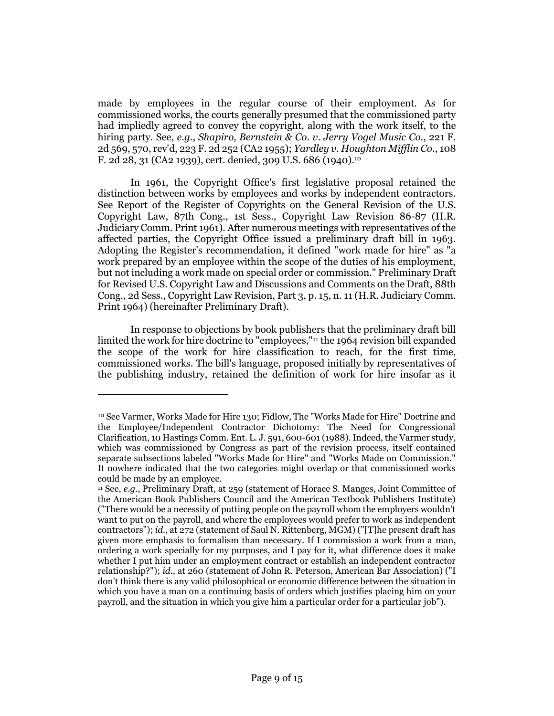made by employees in the regular course of their employment. As for commissioned works, the courts generally presumed that the commissioned party had impliedly agreed to convey the copyright, along with the work itself, to the hiring party. See, *e.g.*, *Shapiro, Bernstein & Co. v. Jerry Vogel Music Co.*, 221 F. 2d 569, 570, rev'd, 223 F. 2d 252 (CA2 1955); *Yardley v. Houghton Mifflin Co.*, 108 F. 2d 28, 31 (CA2 1939), cert. denied, 309 U.S. 686 (1940).<sup>10</sup>

In 1961, the Copyright Office's first legislative proposal retained the distinction between works by employees and works by independent contractors. See Report of the Register of Copyrights on the General Revision of the U.S. Copyright Law, 87th Cong., 1st Sess., Copyright Law Revision 86-87 (H.R. Judiciary Comm. Print 1961). After numerous meetings with representatives of the affected parties, the Copyright Office issued a preliminary draft bill in 1963. Adopting the Register's recommendation, it defined "work made for hire" as "a work prepared by an employee within the scope of the duties of his employment, but not including a work made on special order or commission." Preliminary Draft for Revised U.S. Copyright Law and Discussions and Comments on the Draft, 88th Cong., 2d Sess., Copyright Law Revision, Part 3, p. 15, n. 11 (H.R. Judiciary Comm. Print 1964) (hereinafter Preliminary Draft).

In response to objections by book publishers that the preliminary draft bill limited the work for hire doctrine to "employees,"<sup>11</sup> the 1964 revision bill expanded the scope of the work for hire classification to reach, for the first time, commissioned works. The bill's language, proposed initially by representatives of the publishing industry, retained the definition of work for hire insofar as it

l

<sup>10</sup> See Varmer, Works Made for Hire 130; Fidlow, The "Works Made for Hire" Doctrine and the Employee/Independent Contractor Dichotomy: The Need for Congressional Clarification, 10 Hastings Comm. Ent. L. J. 591, 600-601 (1988). Indeed, the Varmer study, which was commissioned by Congress as part of the revision process, itself contained separate subsections labeled "Works Made for Hire" and "Works Made on Commission." It nowhere indicated that the two categories might overlap or that commissioned works could be made by an employee.

<sup>11</sup> See, *e.g.*, Preliminary Draft, at 259 (statement of Horace S. Manges, Joint Committee of the American Book Publishers Council and the American Textbook Publishers Institute) ("There would be a necessity of putting people on the payroll whom the employers wouldn't want to put on the payroll, and where the employees would prefer to work as independent contractors"); *id.*, at 272 (statement of Saul N. Rittenberg, MGM) ("[T]he present draft has given more emphasis to formalism than necessary. If I commission a work from a man, ordering a work specially for my purposes, and I pay for it, what difference does it make whether I put him under an employment contract or establish an independent contractor relationship?"); *id.*, at 260 (statement of John R. Peterson, American Bar Association) ("I don't think there is any valid philosophical or economic difference between the situation in which you have a man on a continuing basis of orders which justifies placing him on your payroll, and the situation in which you give him a particular order for a particular job").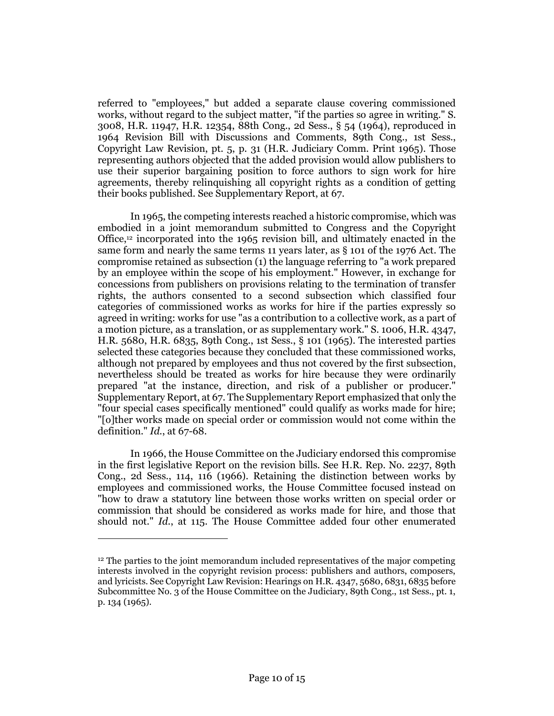referred to "employees," but added a separate clause covering commissioned works, without regard to the subject matter, "if the parties so agree in writing." S. 3008, H.R. 11947, H.R. 12354, 88th Cong., 2d Sess., § 54 (1964), reproduced in 1964 Revision Bill with Discussions and Comments, 89th Cong., 1st Sess., Copyright Law Revision, pt. 5, p. 31 (H.R. Judiciary Comm. Print 1965). Those representing authors objected that the added provision would allow publishers to use their superior bargaining position to force authors to sign work for hire agreements, thereby relinquishing all copyright rights as a condition of getting their books published. See Supplementary Report, at 67.

In 1965, the competing interests reached a historic compromise, which was embodied in a joint memorandum submitted to Congress and the Copyright Office,<sup>12</sup> incorporated into the 1965 revision bill, and ultimately enacted in the same form and nearly the same terms 11 years later, as § 101 of the 1976 Act. The compromise retained as subsection (1) the language referring to "a work prepared by an employee within the scope of his employment." However, in exchange for concessions from publishers on provisions relating to the termination of transfer rights, the authors consented to a second subsection which classified four categories of commissioned works as works for hire if the parties expressly so agreed in writing: works for use "as a contribution to a collective work, as a part of a motion picture, as a translation, or as supplementary work." S. 1006, H.R. 4347, H.R. 5680, H.R. 6835, 89th Cong., 1st Sess., § 101 (1965). The interested parties selected these categories because they concluded that these commissioned works, although not prepared by employees and thus not covered by the first subsection, nevertheless should be treated as works for hire because they were ordinarily prepared "at the instance, direction, and risk of a publisher or producer." Supplementary Report, at 67. The Supplementary Report emphasized that only the "four special cases specifically mentioned" could qualify as works made for hire; "[o]ther works made on special order or commission would not come within the definition." *Id.*, at 67-68.

In 1966, the House Committee on the Judiciary endorsed this compromise in the first legislative Report on the revision bills. See H.R. Rep. No. 2237, 89th Cong., 2d Sess., 114, 116 (1966). Retaining the distinction between works by employees and commissioned works, the House Committee focused instead on "how to draw a statutory line between those works written on special order or commission that should be considered as works made for hire, and those that should not." *Id.*, at 115. The House Committee added four other enumerated

<sup>&</sup>lt;sup>12</sup> The parties to the joint memorandum included representatives of the major competing interests involved in the copyright revision process: publishers and authors, composers, and lyricists. See Copyright Law Revision: Hearings on H.R. 4347, 5680, 6831, 6835 before Subcommittee No. 3 of the House Committee on the Judiciary, 89th Cong., 1st Sess., pt. 1, p. 134 (1965).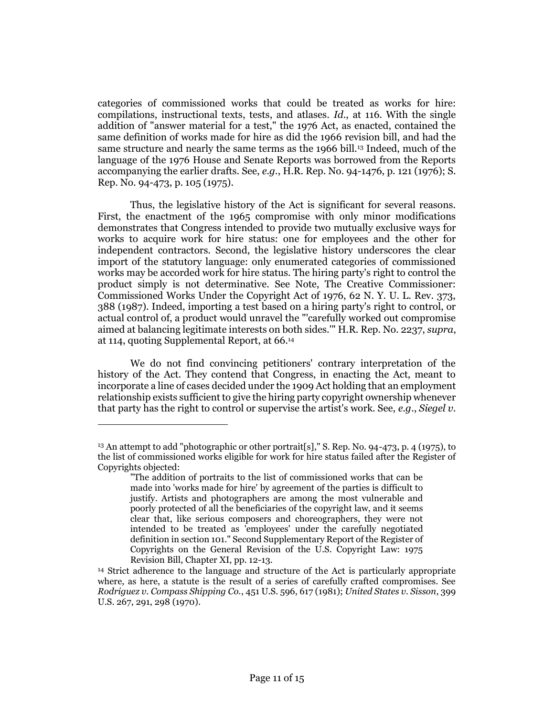categories of commissioned works that could be treated as works for hire: compilations, instructional texts, tests, and atlases. *Id.*, at 116. With the single addition of "answer material for a test," the 1976 Act, as enacted, contained the same definition of works made for hire as did the 1966 revision bill, and had the same structure and nearly the same terms as the 1966 bill.<sup>13</sup> Indeed, much of the language of the 1976 House and Senate Reports was borrowed from the Reports accompanying the earlier drafts. See, *e.g.*, H.R. Rep. No. 94-1476, p. 121 (1976); S. Rep. No. 94-473, p. 105 (1975).

Thus, the legislative history of the Act is significant for several reasons. First, the enactment of the 1965 compromise with only minor modifications demonstrates that Congress intended to provide two mutually exclusive ways for works to acquire work for hire status: one for employees and the other for independent contractors. Second, the legislative history underscores the clear import of the statutory language: only enumerated categories of commissioned works may be accorded work for hire status. The hiring party's right to control the product simply is not determinative. See Note, The Creative Commissioner: Commissioned Works Under the Copyright Act of 1976, 62 N. Y. U. L. Rev. 373, 388 (1987). Indeed, importing a test based on a hiring party's right to control, or actual control of, a product would unravel the "'carefully worked out compromise aimed at balancing legitimate interests on both sides.'" H.R. Rep. No. 2237, *supra*, at 114, quoting Supplemental Report, at 66.<sup>14</sup>

We do not find convincing petitioners' contrary interpretation of the history of the Act. They contend that Congress, in enacting the Act, meant to incorporate a line of cases decided under the 1909 Act holding that an employment relationship exists sufficient to give the hiring party copyright ownership whenever that party has the right to control or supervise the artist's work. See, *e.g.*, *Siegel v.* 

l

<sup>&</sup>lt;sup>13</sup> An attempt to add "photographic or other portrait[s]," S. Rep. No.  $94-473$ , p. 4 (1975), to the list of commissioned works eligible for work for hire status failed after the Register of Copyrights objected:

<sup>&</sup>quot;The addition of portraits to the list of commissioned works that can be made into 'works made for hire' by agreement of the parties is difficult to justify. Artists and photographers are among the most vulnerable and poorly protected of all the beneficiaries of the copyright law, and it seems clear that, like serious composers and choreographers, they were not intended to be treated as 'employees' under the carefully negotiated definition in section 101." Second Supplementary Report of the Register of Copyrights on the General Revision of the U.S. Copyright Law: 1975 Revision Bill, Chapter XI, pp. 12-13.

<sup>14</sup> Strict adherence to the language and structure of the Act is particularly appropriate where, as here, a statute is the result of a series of carefully crafted compromises. See *Rodriguez v. Compass Shipping Co.*, 451 U.S. 596, 617 (1981); *United States v. Sisson*, 399 U.S. 267, 291, 298 (1970).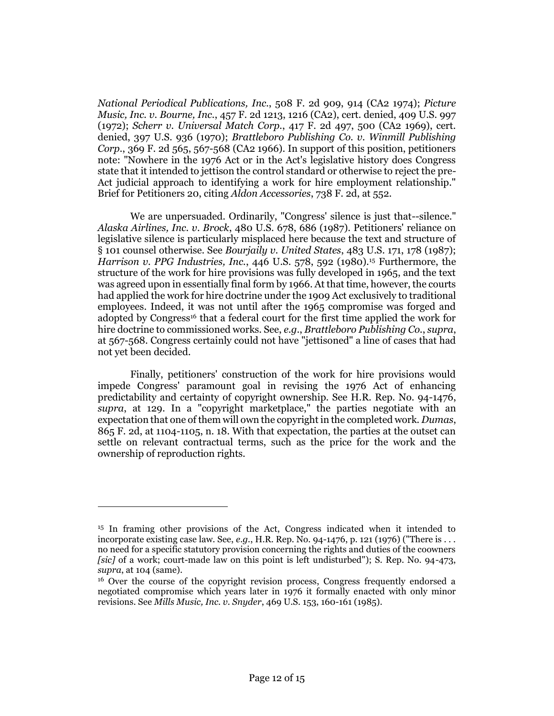*National Periodical Publications, Inc.*, 508 F. 2d 909, 914 (CA2 1974); *Picture Music, Inc. v. Bourne, Inc.*, 457 F. 2d 1213, 1216 (CA2), cert. denied, 409 U.S. 997 (1972); *Scherr v. Universal Match Corp.*, 417 F. 2d 497, 500 (CA2 1969), cert. denied, 397 U.S. 936 (1970); *Brattleboro Publishing Co. v. Winmill Publishing Corp.*, 369 F. 2d 565, 567-568 (CA2 1966). In support of this position, petitioners note: "Nowhere in the 1976 Act or in the Act's legislative history does Congress state that it intended to jettison the control standard or otherwise to reject the pre-Act judicial approach to identifying a work for hire employment relationship." Brief for Petitioners 20, citing *Aldon Accessories*, 738 F. 2d, at 552.

We are unpersuaded. Ordinarily, "Congress' silence is just that--silence." *Alaska Airlines, Inc. v. Brock*, 480 U.S. 678, 686 (1987). Petitioners' reliance on legislative silence is particularly misplaced here because the text and structure of § 101 counsel otherwise. See *Bourjaily v. United States*, 483 U.S. 171, 178 (1987); *Harrison v. PPG Industries, Inc.*, 446 U.S. 578, 592 (1980).<sup>15</sup> Furthermore, the structure of the work for hire provisions was fully developed in 1965, and the text was agreed upon in essentially final form by 1966. At that time, however, the courts had applied the work for hire doctrine under the 1909 Act exclusively to traditional employees. Indeed, it was not until after the 1965 compromise was forged and adopted by Congress<sup>16</sup> that a federal court for the first time applied the work for hire doctrine to commissioned works. See, *e.g.*, *Brattleboro Publishing Co.*, *supra*, at 567-568. Congress certainly could not have "jettisoned" a line of cases that had not yet been decided.

Finally, petitioners' construction of the work for hire provisions would impede Congress' paramount goal in revising the 1976 Act of enhancing predictability and certainty of copyright ownership. See H.R. Rep. No. 94-1476, *supra*, at 129. In a "copyright marketplace," the parties negotiate with an expectation that one of them will own the copyright in the completed work. *Dumas*, 865 F. 2d, at 1104-1105, n. 18. With that expectation, the parties at the outset can settle on relevant contractual terms, such as the price for the work and the ownership of reproduction rights.

<sup>15</sup> In framing other provisions of the Act, Congress indicated when it intended to incorporate existing case law. See, *e.g.*, H.R. Rep. No. 94-1476, p. 121 (1976) ("There is . . . no need for a specific statutory provision concerning the rights and duties of the coowners *[sic]* of a work; court-made law on this point is left undisturbed"); S. Rep. No. 94-473, *supra*, at 104 (same).

<sup>16</sup> Over the course of the copyright revision process, Congress frequently endorsed a negotiated compromise which years later in 1976 it formally enacted with only minor revisions. See *Mills Music, Inc. v. Snyder*, 469 U.S. 153, 160-161 (1985).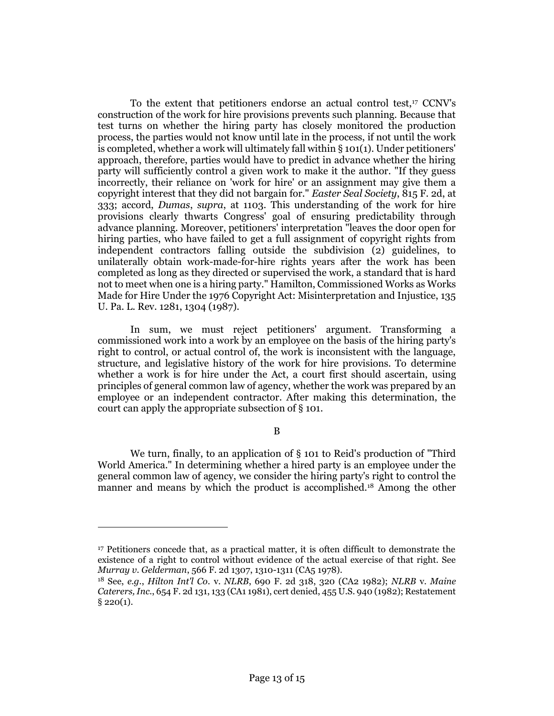To the extent that petitioners endorse an actual control test,<sup>17</sup> CCNV's construction of the work for hire provisions prevents such planning. Because that test turns on whether the hiring party has closely monitored the production process, the parties would not know until late in the process, if not until the work is completed, whether a work will ultimately fall within § 101(1). Under petitioners' approach, therefore, parties would have to predict in advance whether the hiring party will sufficiently control a given work to make it the author. "If they guess incorrectly, their reliance on 'work for hire' or an assignment may give them a copyright interest that they did not bargain for." *Easter Seal Society*, 815 F. 2d, at 333; accord, *Dumas*, *supra*, at 1103. This understanding of the work for hire provisions clearly thwarts Congress' goal of ensuring predictability through advance planning. Moreover, petitioners' interpretation "leaves the door open for hiring parties, who have failed to get a full assignment of copyright rights from independent contractors falling outside the subdivision (2) guidelines, to unilaterally obtain work-made-for-hire rights years after the work has been completed as long as they directed or supervised the work, a standard that is hard not to meet when one is a hiring party." Hamilton, Commissioned Works as Works Made for Hire Under the 1976 Copyright Act: Misinterpretation and Injustice, 135 U. Pa. L. Rev. 1281, 1304 (1987).

In sum, we must reject petitioners' argument. Transforming a commissioned work into a work by an employee on the basis of the hiring party's right to control, or actual control of, the work is inconsistent with the language, structure, and legislative history of the work for hire provisions. To determine whether a work is for hire under the Act, a court first should ascertain, using principles of general common law of agency, whether the work was prepared by an employee or an independent contractor. After making this determination, the court can apply the appropriate subsection of § 101.

B

We turn, finally, to an application of § 101 to Reid's production of "Third World America." In determining whether a hired party is an employee under the general common law of agency, we consider the hiring party's right to control the manner and means by which the product is accomplished.<sup>18</sup> Among the other

<sup>17</sup> Petitioners concede that, as a practical matter, it is often difficult to demonstrate the existence of a right to control without evidence of the actual exercise of that right. See *Murray v. Gelderman*, 566 F. 2d 1307, 1310-1311 (CA5 1978).

<sup>18</sup> See, *e.g.*, *Hilton Int'l Co.* v. *NLRB*, 690 F. 2d 318, 320 (CA2 1982); *NLRB* v. *Maine Caterers, Inc.*, 654 F. 2d 131, 133 (CA1 1981), cert denied, 455 U.S. 940 (1982); Restatement  $§ 220(1).$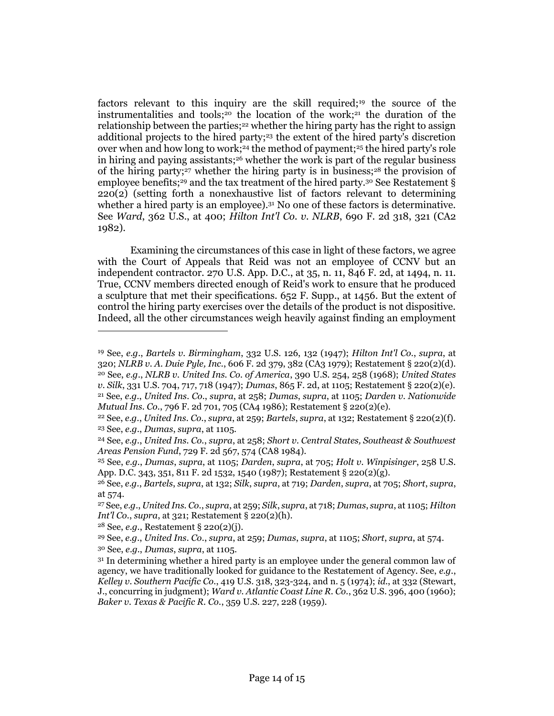factors relevant to this inquiry are the skill required;<sup>19</sup> the source of the instrumentalities and tools;<sup>20</sup> the location of the work;<sup>21</sup> the duration of the relationship between the parties;<sup>22</sup> whether the hiring party has the right to assign additional projects to the hired party;<sup>23</sup> the extent of the hired party's discretion over when and how long to work;<sup>24</sup> the method of payment;<sup>25</sup> the hired party's role in hiring and paying assistants; $26$  whether the work is part of the regular business of the hiring party;<sup>27</sup> whether the hiring party is in business;<sup>28</sup> the provision of employee benefits;<sup>29</sup> and the tax treatment of the hired party.<sup>30</sup> See Restatement § 220(2) (setting forth a nonexhaustive list of factors relevant to determining whether a hired party is an employee).<sup>31</sup> No one of these factors is determinative. See *Ward*, 362 U.S., at 400; *Hilton Int'l Co. v. NLRB*, 690 F. 2d 318, 321 (CA2 1982).

Examining the circumstances of this case in light of these factors, we agree with the Court of Appeals that Reid was not an employee of CCNV but an independent contractor. 270 U.S. App. D.C., at 35, n. 11, 846 F. 2d, at 1494, n. 11. True, CCNV members directed enough of Reid's work to ensure that he produced a sculpture that met their specifications. 652 F. Supp., at 1456. But the extent of control the hiring party exercises over the details of the product is not dispositive. Indeed, all the other circumstances weigh heavily against finding an employment

<sup>28</sup> See, *e.g.*, Restatement § 220(2)(j).

<sup>19</sup> See, *e.g.*, *Bartels v. Birmingham*, 332 U.S. 126, 132 (1947); *Hilton Int'l Co.*, *supra*, at 320; *NLRB v. A. Duie Pyle, Inc.*, 606 F. 2d 379, 382 (CA3 1979); Restatement § 220(2)(d). <sup>20</sup> See, *e.g.*, *NLRB v. United Ins. Co. of America*, 390 U.S. 254, 258 (1968); *United States* 

*v. Silk*, 331 U.S. 704, 717, 718 (1947); *Dumas*, 865 F. 2d, at 1105; Restatement § 220(2)(e). <sup>21</sup> See, *e.g.*, *United Ins. Co.*, *supra*, at 258; *Dumas*, *supra*, at 1105; *Darden v. Nationwide Mutual Ins. Co.*, 796 F. 2d 701, 705 (CA4 1986); Restatement § 220(2)(e).

<sup>22</sup> See, *e.g.*, *United Ins. Co.*, *supra*, at 259; *Bartels*, *supra*, at 132; Restatement § 220(2)(f). <sup>23</sup> See, *e.g.*, *Dumas*, *supra*, at 1105.

<sup>24</sup> See, *e.g.*, *United Ins. Co.*, *supra*, at 258; *Short v. Central States, Southeast & Southwest Areas Pension Fund*, 729 F. 2d 567, 574 (CA8 1984).

<sup>25</sup> See, *e.g.*, *Dumas*, *supra*, at 1105; *Darden*, *supra*, at 705; *Holt v. Winpisinger*, 258 U.S. App. D.C. 343, 351, 811 F. 2d 1532, 1540 (1987); Restatement § 220(2)(g).

<sup>26</sup> See, *e.g.*, *Bartels*, *supra*, at 132; *Silk*, *supra*, at 719; *Darden*, *supra*, at 705; *Short*, *supra*, at 574.

<sup>27</sup> See, *e.g.*, *United Ins. Co.*, *supra*, at 259; *Silk*, *supra*, at 718; *Dumas*, *supra*, at 1105; *Hilton Int'l Co.*, *supra*, at 321; Restatement § 220(2)(h).

<sup>29</sup> See, *e.g.*, *United Ins. Co.*, *supra*, at 259; *Dumas*, *supra*, at 1105; *Short*, *supra*, at 574. <sup>30</sup> See, *e.g.*, *Dumas*, *supra*, at 1105.

<sup>&</sup>lt;sup>31</sup> In determining whether a hired party is an employee under the general common law of agency, we have traditionally looked for guidance to the Restatement of Agency. See, *e.g.*, *Kelley v. Southern Pacific Co.*, 419 U.S. 318, 323-324, and n. 5 (1974); *id.*, at 332 (Stewart, J., concurring in judgment); *Ward v. Atlantic Coast Line R. Co.*, 362 U.S. 396, 400 (1960); *Baker v. Texas & Pacific R. Co.*, 359 U.S. 227, 228 (1959).